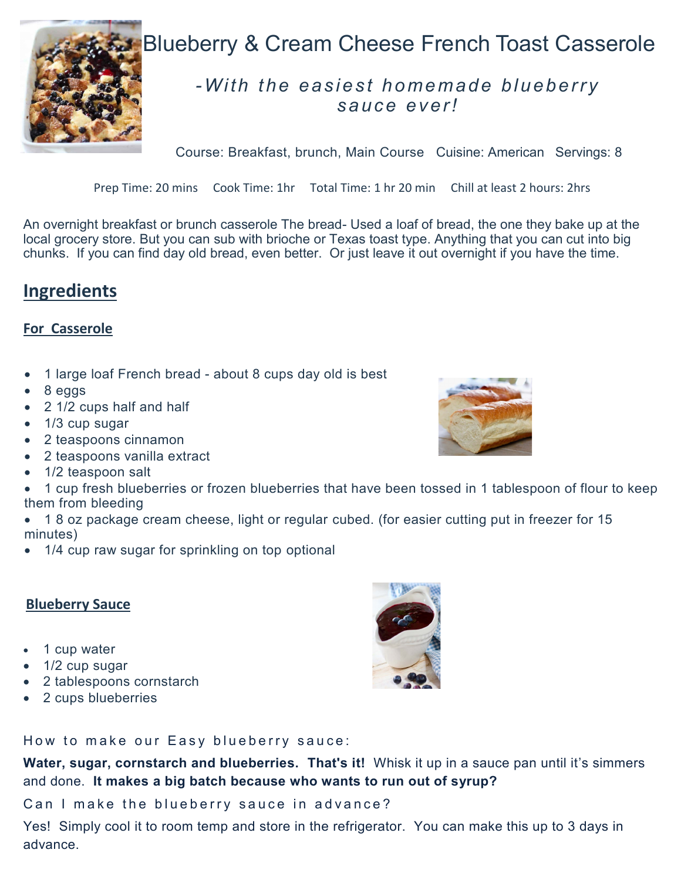

# Blueberry & Cream Cheese French Toast Casserole

# *-With the easie st ho me mad e blu ebe rry sauce ever!*

Course: Breakfast, brunch, Main Course Cuisine: American Servings: 8

Prep Time: 20 mins Cook Time: 1hr Total Time: 1 hr 20 min Chill at least 2 hours: 2hrs

An overnight breakfast or brunch casserole The bread- Used a loaf of bread, the one they bake up at the local grocery store. But you can sub with brioche or Texas toast type. Anything that you can cut into big chunks. If you can find day old bread, even better. Or just leave it out overnight if you have the time.

## **Ingredients**

### **For Casserole**

- 1 large loaf French bread about 8 cups day old is best
- 8 eggs
- 2 1/2 cups half and half
- 1/3 cup sugar
- 2 teaspoons cinnamon
- 2 teaspoons vanilla extract
- 1/2 teaspoon salt
- 1 cup fresh blueberries or frozen blueberries that have been tossed in 1 tablespoon of flour to keep them from bleeding
- 1 8 oz package cream cheese, light or regular cubed. (for easier cutting put in freezer for 15 minutes)
- 1/4 cup raw sugar for sprinkling on top optional

#### **Blueberry Sauce**

- 1 cup water
- 1/2 cup sugar
- 2 tablespoons cornstarch
- 2 cups blueberries



How to make our Easy blueberry sauce:

Water, sugar, cornstarch and blueberries. That's it! Whisk it up in a sauce pan until it's simmers and done. **It makes a big batch because who wants to run out of syrup?**

Can I make the blueberry sauce in advance?

Yes! Simply cool it to room temp and store in the refrigerator. You can make this up to 3 days in advance.